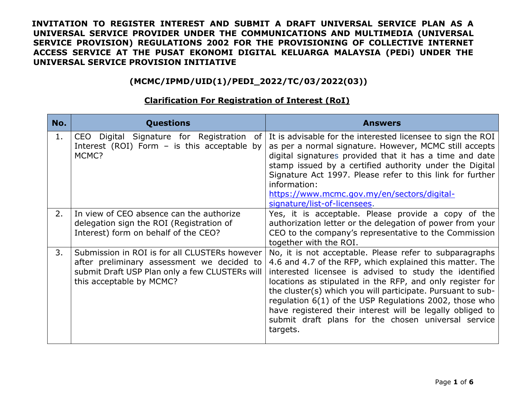### **(MCMC/IPMD/UID(1)/PEDI\_2022/TC/03/2022(03))**

| No. | <b>Questions</b>                                                                                                                                                          | <b>Answers</b>                                                                                                                                                                                                                                                                                                                                                                                                                                                                                      |
|-----|---------------------------------------------------------------------------------------------------------------------------------------------------------------------------|-----------------------------------------------------------------------------------------------------------------------------------------------------------------------------------------------------------------------------------------------------------------------------------------------------------------------------------------------------------------------------------------------------------------------------------------------------------------------------------------------------|
| 1.  | CEO Digital Signature for Registration<br>0f<br>Interest (ROI) Form $-$ is this acceptable by<br>MCMC?                                                                    | It is advisable for the interested licensee to sign the ROI<br>as per a normal signature. However, MCMC still accepts<br>digital signatures provided that it has a time and date<br>stamp issued by a certified authority under the Digital<br>Signature Act 1997. Please refer to this link for further<br>information:<br>https://www.mcmc.gov.my/en/sectors/digital-<br>signature/list-of-licensees.                                                                                             |
| 2.  | In view of CEO absence can the authorize<br>delegation sign the ROI (Registration of<br>Interest) form on behalf of the CEO?                                              | Yes, it is acceptable. Please provide a copy of the<br>authorization letter or the delegation of power from your<br>CEO to the company's representative to the Commission<br>together with the ROI.                                                                                                                                                                                                                                                                                                 |
| 3.  | Submission in ROI is for all CLUSTERs however<br>after preliminary assessment we decided to<br>submit Draft USP Plan only a few CLUSTERs will<br>this acceptable by MCMC? | No, it is not acceptable. Please refer to subparagraphs<br>4.6 and 4.7 of the RFP, which explained this matter. The<br>interested licensee is advised to study the identified<br>locations as stipulated in the RFP, and only register for<br>the cluster(s) which you will participate. Pursuant to sub-<br>regulation 6(1) of the USP Regulations 2002, those who<br>have registered their interest will be legally obliged to<br>submit draft plans for the chosen universal service<br>targets. |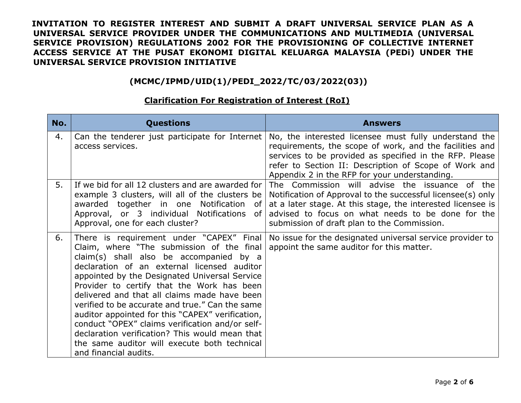### **(MCMC/IPMD/UID(1)/PEDI\_2022/TC/03/2022(03))**

| No. | <b>Questions</b>                                                                                                                                                                                                                                                                                                                                                                                                                                                                                                                                                                                                    | <b>Answers</b>                                                                                                                                                                                                                                                                        |
|-----|---------------------------------------------------------------------------------------------------------------------------------------------------------------------------------------------------------------------------------------------------------------------------------------------------------------------------------------------------------------------------------------------------------------------------------------------------------------------------------------------------------------------------------------------------------------------------------------------------------------------|---------------------------------------------------------------------------------------------------------------------------------------------------------------------------------------------------------------------------------------------------------------------------------------|
| 4.  | Can the tenderer just participate for Internet<br>access services.                                                                                                                                                                                                                                                                                                                                                                                                                                                                                                                                                  | No, the interested licensee must fully understand the<br>requirements, the scope of work, and the facilities and<br>services to be provided as specified in the RFP. Please<br>refer to Section II: Description of Scope of Work and<br>Appendix 2 in the RFP for your understanding. |
| 5.  | If we bid for all 12 clusters and are awarded for<br>example 3 clusters, will all of the clusters be<br>awarded together in one Notification<br>of<br>Approval, or 3 individual Notifications<br>0f<br>Approval, one for each cluster?                                                                                                                                                                                                                                                                                                                                                                              | The Commission will advise the issuance of<br>the<br>Notification of Approval to the successful licensee(s) only<br>at a later stage. At this stage, the interested licensee is<br>advised to focus on what needs to be done for the<br>submission of draft plan to the Commission.   |
| 6.  | There is requirement under "CAPEX" Final<br>Claim, where "The submission of the final<br>claim(s) shall also be accompanied by a<br>declaration of an external licensed auditor<br>appointed by the Designated Universal Service<br>Provider to certify that the Work has been<br>delivered and that all claims made have been<br>verified to be accurate and true." Can the same<br>auditor appointed for this "CAPEX" verification,<br>conduct "OPEX" claims verification and/or self-<br>declaration verification? This would mean that<br>the same auditor will execute both technical<br>and financial audits. | No issue for the designated universal service provider to<br>appoint the same auditor for this matter.                                                                                                                                                                                |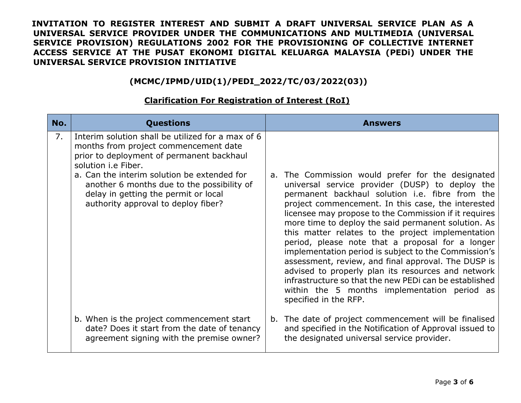### **(MCMC/IPMD/UID(1)/PEDI\_2022/TC/03/2022(03))**

| No. | <b>Questions</b>                                                                                                                                                                                                                                                                                                                                  | <b>Answers</b>                                                                                                                                                                                                                                                                                                                                                                                                                                                                                                                                                                                                                                                                                                                                 |
|-----|---------------------------------------------------------------------------------------------------------------------------------------------------------------------------------------------------------------------------------------------------------------------------------------------------------------------------------------------------|------------------------------------------------------------------------------------------------------------------------------------------------------------------------------------------------------------------------------------------------------------------------------------------------------------------------------------------------------------------------------------------------------------------------------------------------------------------------------------------------------------------------------------------------------------------------------------------------------------------------------------------------------------------------------------------------------------------------------------------------|
| 7.  | Interim solution shall be utilized for a max of 6<br>months from project commencement date<br>prior to deployment of permanent backhaul<br>solution <i>i.e</i> Fiber.<br>a. Can the interim solution be extended for<br>another 6 months due to the possibility of<br>delay in getting the permit or local<br>authority approval to deploy fiber? | a. The Commission would prefer for the designated<br>universal service provider (DUSP) to deploy the<br>permanent backhaul solution i.e. fibre from the<br>project commencement. In this case, the interested<br>licensee may propose to the Commission if it requires<br>more time to deploy the said permanent solution. As<br>this matter relates to the project implementation<br>period, please note that a proposal for a longer<br>implementation period is subject to the Commission's<br>assessment, review, and final approval. The DUSP is<br>advised to properly plan its resources and network<br>infrastructure so that the new PEDi can be established<br>within the 5 months implementation period as<br>specified in the RFP. |
|     | b. When is the project commencement start<br>date? Does it start from the date of tenancy<br>agreement signing with the premise owner?                                                                                                                                                                                                            | b. The date of project commencement will be finalised<br>and specified in the Notification of Approval issued to<br>the designated universal service provider.                                                                                                                                                                                                                                                                                                                                                                                                                                                                                                                                                                                 |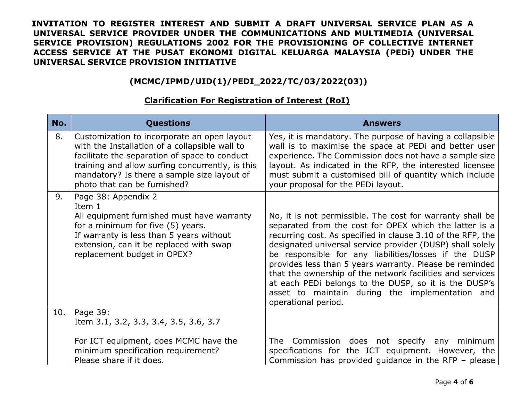# **(MCMC/IPMD/UID(1)/PEDI\_2022/TC/03/2022(03))**

#### **No. Questions Answers** 8. Customization to incorporate an open layout with the Installation of a collapsible wall to facilitate the separation of space to conduct training and allow surfing concurrently, is this mandatory? Is there a sample size layout of photo that can be furnished? Yes, it is mandatory. The purpose of having a collapsible wall is to maximise the space at PEDi and better user experience. The Commission does not have a sample size layout. As indicated in the RFP, the interested licensee must submit a customised bill of quantity which include your proposal for the PEDi layout. 9. Page 38: Appendix 2 Item 1 All equipment furnished must have warranty for a minimum for five (5) years. If warranty is less than 5 years without extension, can it be replaced with swap replacement budget in OPEX? No, it is not permissible. The cost for warranty shall be separated from the cost for OPEX which the latter is a recurring cost. As specified in clause 3.10 of the RFP, the designated universal service provider (DUSP) shall solely be responsible for any liabilities/losses if the DUSP provides less than 5 years warranty. Please be reminded that the ownership of the network facilities and services at each PEDi belongs to the DUSP, so it is the DUSP's asset to maintain during the implementation and operational period. 10. Page 39: Item 3.1, 3.2, 3.3, 3.4, 3.5, 3.6, 3.7 For ICT equipment, does MCMC have the minimum specification requirement? Please share if it does. The Commission does not specify any minimum specifications for the ICT equipment. However, the Commission has provided guidance in the RFP – please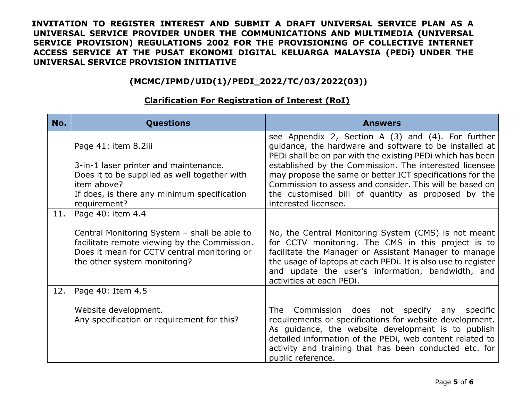### **(MCMC/IPMD/UID(1)/PEDI\_2022/TC/03/2022(03))**

### **No. Questions Answers** Page 41: item 8.2iii 3-in-1 laser printer and maintenance. Does it to be supplied as well together with item above? If does, is there any minimum specification requirement? see Appendix 2, Section A (3) and (4). For further guidance, the hardware and software to be installed at PEDi shall be on par with the existing PEDi which has been established by the Commission. The interested licensee may propose the same or better ICT specifications for the Commission to assess and consider. This will be based on the customised bill of quantity as proposed by the interested licensee. 11. Page 40: item 4.4 Central Monitoring System – shall be able to facilitate remote viewing by the Commission. Does it mean for CCTV central monitoring or the other system monitoring? No, the Central Monitoring System (CMS) is not meant for CCTV monitoring. The CMS in this project is to facilitate the Manager or Assistant Manager to manage the usage of laptops at each PEDi. It is also use to register and update the user's information, bandwidth, and activities at each PEDi. 12. Page 40: Item 4.5 Website development. Any specification or requirement for this? The Commission does not specify any specific requirements or specifications for website development. As guidance, the website development is to publish detailed information of the PEDi, web content related to activity and training that has been conducted etc. for public reference.